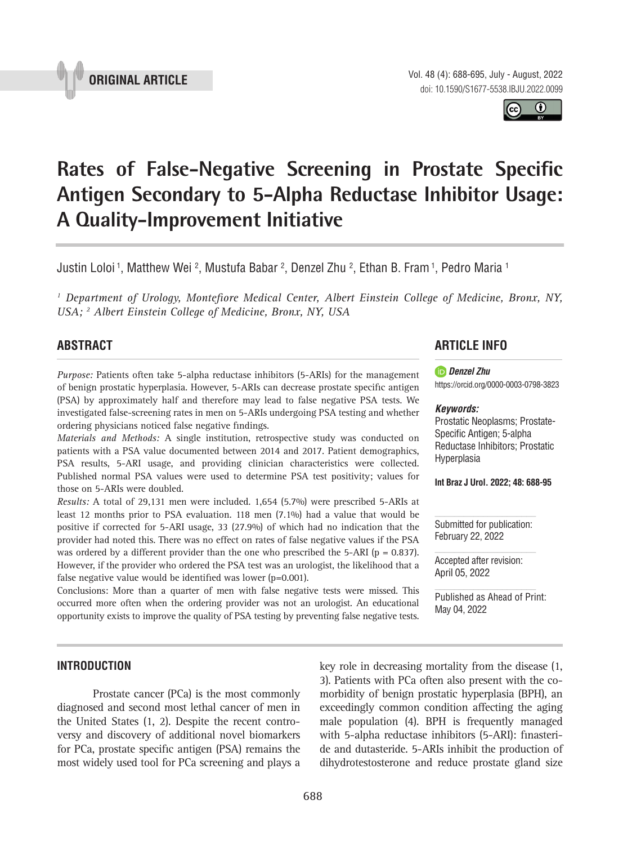

Vol. 48 (4): 688-695, July - August, 2022 doi: 10.1590/S1677-5538.IBJU.2022.0099

 $\bf 0$ 

# Rates of False-Negative Screening in Prostate Specific **Antigen Secondary to 5-Alpha Reductase Inhibitor Usage: A Quality-Improvement Initiative \_\_\_\_\_\_\_\_\_\_\_\_\_\_\_\_\_\_\_\_\_\_\_\_\_\_\_\_\_\_\_\_\_\_\_\_\_\_\_\_\_\_\_\_\_\_\_**

Justin Loloi <sup>1</sup>, Matthew Wei <sup>2</sup>, Mustufa Babar <sup>2</sup>, Denzel Zhu <sup>2</sup>, Ethan B. Fram <sup>1</sup>, Pedro Maria <sup>1</sup>

<sup>1</sup> Department of Urology, Montefiore Medical Center, Albert Einstein College of Medicine, Bronx, NY, *USA; 2 Albert Einstein College of Medicine, Bronx, NY, USA*

# **ABSTRACT**

*Purpose:* Patients often take 5-alpha reductase inhibitors (5-ARIs) for the management of benign prostatic hyperplasia. However, 5-ARIs can decrease prostate specific antigen (PSA) by approximately half and therefore may lead to false negative PSA tests. We investigated false-screening rates in men on 5-ARIs undergoing PSA testing and whether ordering physicians noticed false negative findings.

*Materials and Methods:* A single institution, retrospective study was conducted on patients with a PSA value documented between 2014 and 2017. Patient demographics, PSA results, 5-ARI usage, and providing clinician characteristics were collected. Published normal PSA values were used to determine PSA test positivity; values for those on 5-ARIs were doubled.

*Results:* A total of 29,131 men were included. 1,654 (5.7%) were prescribed 5-ARIs at least 12 months prior to PSA evaluation. 118 men (7.1%) had a value that would be positive if corrected for 5-ARI usage, 33 (27.9%) of which had no indication that the provider had noted this. There was no effect on rates of false negative values if the PSA was ordered by a different provider than the one who prescribed the 5-ARI ( $p = 0.837$ ). However, if the provider who ordered the PSA test was an urologist, the likelihood that a false negative value would be identified was lower  $(p=0.001)$ .

Conclusions: More than a quarter of men with false negative tests were missed. This occurred more often when the ordering provider was not an urologist. An educational opportunity exists to improve the quality of PSA testing by preventing false negative tests.

# **ARTICLE INFO**

#### *Denzel Zhu*

https://orcid.org/0000-0003-0798-3823

#### *Keywords:*

Prostatic Neoplasms; Prostate-Specific Antigen; 5-alpha Reductase Inhibitors; Prostatic Hyperplasia

**Int Braz J Urol. 2022; 48: 688-95**

Submitted for publication: February 22, 2022

Accepted after revision: April 05, 2022

Published as Ahead of Print: May 04, 2022

## **INTRODUCTION**

Prostate cancer (PCa) is the most commonly diagnosed and second most lethal cancer of men in the United States (1, 2). Despite the recent controversy and discovery of additional novel biomarkers for PCa, prostate specific antigen (PSA) remains the most widely used tool for PCa screening and plays a key role in decreasing mortality from the disease (1, 3). Patients with PCa often also present with the comorbidity of benign prostatic hyperplasia (BPH), an exceedingly common condition affecting the aging male population (4). BPH is frequently managed with 5-alpha reductase inhibitors (5-ARI): finasteride and dutasteride. 5-ARIs inhibit the production of dihydrotestosterone and reduce prostate gland size

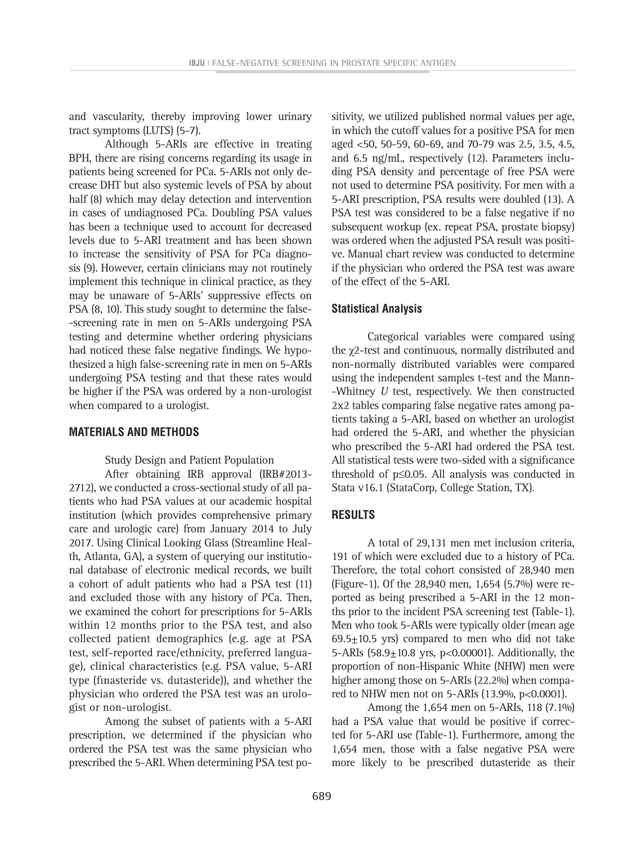and vascularity, thereby improving lower urinary tract symptoms (LUTS) (5-7).

Although 5-ARIs are effective in treating BPH, there are rising concerns regarding its usage in patients being screened for PCa. 5-ARIs not only decrease DHT but also systemic levels of PSA by about half (8) which may delay detection and intervention in cases of undiagnosed PCa. Doubling PSA values has been a technique used to account for decreased levels due to 5-ARI treatment and has been shown to increase the sensitivity of PSA for PCa diagnosis (9). However, certain clinicians may not routinely implement this technique in clinical practice, as they may be unaware of 5-ARIs' suppressive effects on PSA (8, 10). This study sought to determine the false- -screening rate in men on 5-ARIs undergoing PSA testing and determine whether ordering physicians had noticed these false negative findings. We hypothesized a high false-screening rate in men on 5-ARIs undergoing PSA testing and that these rates would be higher if the PSA was ordered by a non-urologist when compared to a urologist.

#### **MATERIALS AND METHODS**

Study Design and Patient Population

After obtaining IRB approval (IRB#2013- 2712), we conducted a cross-sectional study of all patients who had PSA values at our academic hospital institution (which provides comprehensive primary care and urologic care) from January 2014 to July 2017. Using Clinical Looking Glass (Streamline Health, Atlanta, GA), a system of querying our institutional database of electronic medical records, we built a cohort of adult patients who had a PSA test (11) and excluded those with any history of PCa. Then, we examined the cohort for prescriptions for 5-ARIs within 12 months prior to the PSA test, and also collected patient demographics (e.g. age at PSA test, self-reported race/ethnicity, preferred language), clinical characteristics (e.g. PSA value, 5-ARI type (finasteride vs. dutasteride)), and whether the physician who ordered the PSA test was an urologist or non-urologist.

Among the subset of patients with a 5-ARI prescription, we determined if the physician who ordered the PSA test was the same physician who prescribed the 5-ARI. When determining PSA test po-

sitivity, we utilized published normal values per age, in which the cutoff values for a positive PSA for men aged <50, 50-59, 60-69, and 70-79 was 2.5, 3.5, 4.5, and 6.5 ng/mL, respectively (12). Parameters including PSA density and percentage of free PSA were not used to determine PSA positivity. For men with a 5-ARI prescription, PSA results were doubled (13). A PSA test was considered to be a false negative if no subsequent workup (ex. repeat PSA, prostate biopsy) was ordered when the adjusted PSA result was positive. Manual chart review was conducted to determine if the physician who ordered the PSA test was aware of the effect of the 5-ARI.

#### **Statistical Analysis**

Categorical variables were compared using the χ2-test and continuous, normally distributed and non-normally distributed variables were compared using the independent samples t-test and the Mann- -Whitney *U* test, respectively. We then constructed 2x2 tables comparing false negative rates among patients taking a 5-ARI, based on whether an urologist had ordered the 5-ARI, and whether the physician who prescribed the 5-ARI had ordered the PSA test. All statistical tests were two-sided with a significance threshold of p≤0.05. All analysis was conducted in Stata v16.1 (StataCorp, College Station, TX).

## **RESULTS**

A total of 29,131 men met inclusion criteria, 191 of which were excluded due to a history of PCa. Therefore, the total cohort consisted of 28,940 men (Figure-1). Of the 28,940 men, 1,654 (5.7%) were reported as being prescribed a 5-ARI in the 12 months prior to the incident PSA screening test (Table-1). Men who took 5-ARIs were typically older (mean age  $69.5\pm10.5$  yrs) compared to men who did not take 5-ARIs (58.9±10.8 yrs, p<0.00001). Additionally, the proportion of non-Hispanic White (NHW) men were higher among those on 5-ARIs (22.2%) when compared to NHW men not on 5-ARIs (13.9%, p<0.0001).

Among the 1,654 men on 5-ARIs, 118 (7.1%) had a PSA value that would be positive if corrected for 5-ARI use (Table-1). Furthermore, among the 1,654 men, those with a false negative PSA were more likely to be prescribed dutasteride as their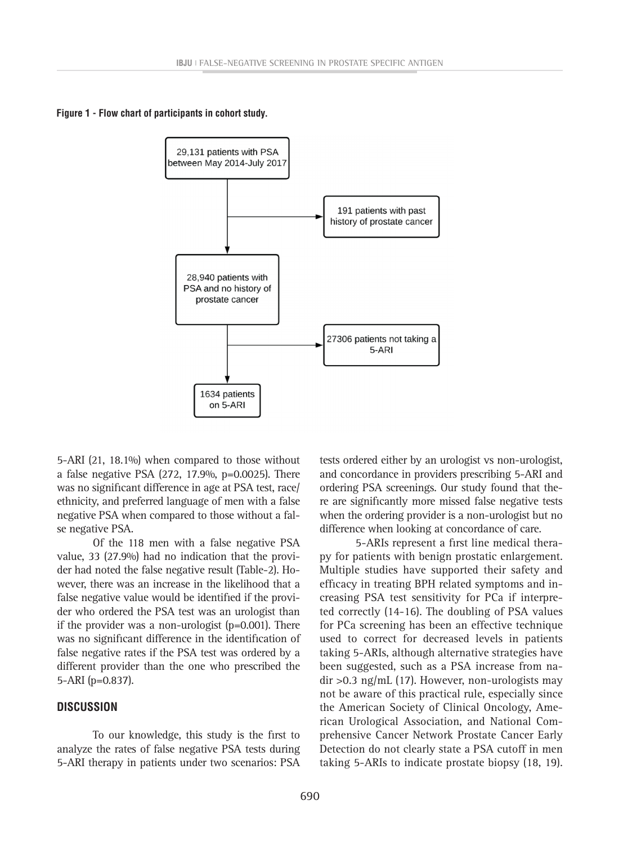**Figure 1 - Flow chart of participants in cohort study.** 



5-ARI (21, 18.1%) when compared to those without a false negative PSA (272, 17.9%, p=0.0025). There was no significant difference in age at PSA test, race/ ethnicity, and preferred language of men with a false negative PSA when compared to those without a false negative PSA.

Of the 118 men with a false negative PSA value, 33 (27.9%) had no indication that the provider had noted the false negative result (Table-2). However, there was an increase in the likelihood that a false negative value would be identified if the provider who ordered the PSA test was an urologist than if the provider was a non-urologist (p=0.001). There was no significant difference in the identification of false negative rates if the PSA test was ordered by a different provider than the one who prescribed the 5-ARI (p=0.837).

#### **DISCUSSION**

To our knowledge, this study is the first to analyze the rates of false negative PSA tests during 5-ARI therapy in patients under two scenarios: PSA

tests ordered either by an urologist vs non-urologist, and concordance in providers prescribing 5-ARI and ordering PSA screenings. Our study found that there are significantly more missed false negative tests when the ordering provider is a non-urologist but no difference when looking at concordance of care.

5-ARIs represent a first line medical therapy for patients with benign prostatic enlargement. Multiple studies have supported their safety and efficacy in treating BPH related symptoms and increasing PSA test sensitivity for PCa if interpreted correctly (14-16). The doubling of PSA values for PCa screening has been an effective technique used to correct for decreased levels in patients taking 5-ARIs, although alternative strategies have been suggested, such as a PSA increase from nadir >0.3 ng/mL (17). However, non-urologists may not be aware of this practical rule, especially since the American Society of Clinical Oncology, American Urological Association, and National Comprehensive Cancer Network Prostate Cancer Early Detection do not clearly state a PSA cutoff in men taking 5-ARIs to indicate prostate biopsy (18, 19).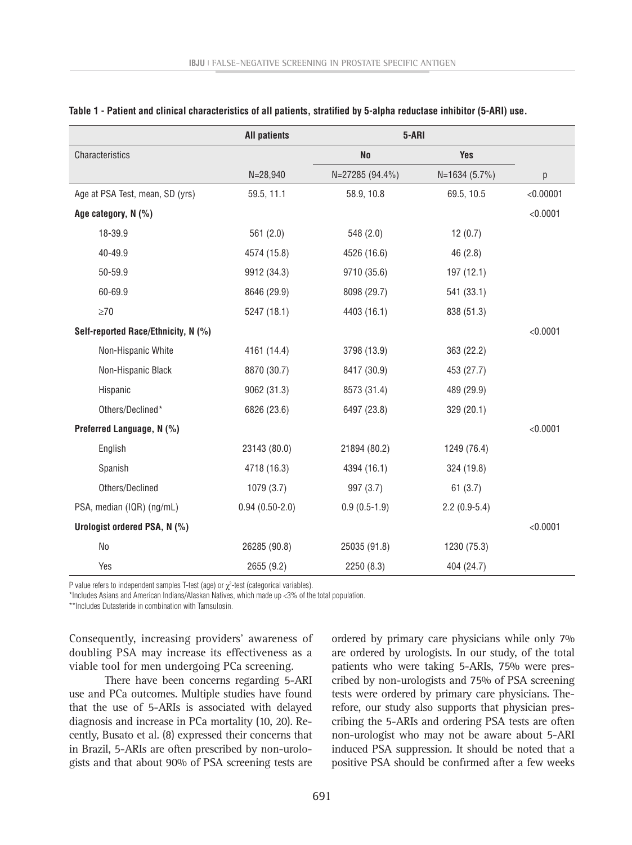|                                     | <b>All patients</b> | 5-ARI           |                |           |
|-------------------------------------|---------------------|-----------------|----------------|-----------|
| Characteristics                     |                     | <b>No</b>       | <b>Yes</b>     |           |
|                                     | $N = 28,940$        | N=27285 (94.4%) | $N=1634(5.7%)$ | р         |
| Age at PSA Test, mean, SD (yrs)     | 59.5, 11.1          | 58.9, 10.8      | 69.5, 10.5     | < 0.00001 |
| Age category, N (%)                 |                     |                 |                | < 0.0001  |
| 18-39.9                             | 561(2.0)            | 548 (2.0)       | 12(0.7)        |           |
| 40-49.9                             | 4574 (15.8)         | 4526 (16.6)     | 46(2.8)        |           |
| 50-59.9                             | 9912 (34.3)         | 9710 (35.6)     | 197 (12.1)     |           |
| 60-69.9                             | 8646 (29.9)         | 8098 (29.7)     | 541 (33.1)     |           |
| $\geq 70$                           | 5247 (18.1)         | 4403 (16.1)     | 838 (51.3)     |           |
| Self-reported Race/Ethnicity, N (%) |                     |                 |                | < 0.0001  |
| Non-Hispanic White                  | 4161 (14.4)         | 3798 (13.9)     | 363 (22.2)     |           |
| Non-Hispanic Black                  | 8870 (30.7)         | 8417 (30.9)     | 453 (27.7)     |           |
| Hispanic                            | 9062 (31.3)         | 8573 (31.4)     | 489 (29.9)     |           |
| Others/Declined*                    | 6826 (23.6)         | 6497 (23.8)     | 329 (20.1)     |           |
| Preferred Language, N (%)           |                     |                 |                | < 0.0001  |
| English                             | 23143 (80.0)        | 21894 (80.2)    | 1249 (76.4)    |           |
| Spanish                             | 4718 (16.3)         | 4394 (16.1)     | 324 (19.8)     |           |
| Others/Declined                     | 1079 (3.7)          | 997 (3.7)       | 61(3.7)        |           |
| PSA, median (IQR) (ng/mL)           | $0.94(0.50-2.0)$    | $0.9(0.5-1.9)$  | $2.2(0.9-5.4)$ |           |
| Urologist ordered PSA, N (%)        |                     |                 |                | < 0.0001  |
| N <sub>o</sub>                      | 26285 (90.8)        | 25035 (91.8)    | 1230 (75.3)    |           |
| Yes                                 | 2655 (9.2)          | 2250 (8.3)      | 404 (24.7)     |           |

#### **Table 1 - Patient and clinical characteristics of all patients, stratified by 5-alpha reductase inhibitor (5-ARI) use.**

P value refers to independent samples T-test (age) or  $\chi^2$ -test (categorical variables).

\*Includes Asians and American Indians/Alaskan Natives, which made up <3% of the total population.

\*\*Includes Dutasteride in combination with Tamsulosin.

Consequently, increasing providers' awareness of doubling PSA may increase its effectiveness as a viable tool for men undergoing PCa screening.

There have been concerns regarding 5-ARI use and PCa outcomes. Multiple studies have found that the use of 5-ARIs is associated with delayed diagnosis and increase in PCa mortality (10, 20). Recently, Busato et al. (8) expressed their concerns that in Brazil, 5-ARIs are often prescribed by non-urologists and that about 90% of PSA screening tests are

ordered by primary care physicians while only 7% are ordered by urologists. In our study, of the total patients who were taking 5-ARIs, 75% were prescribed by non-urologists and 75% of PSA screening tests were ordered by primary care physicians. Therefore, our study also supports that physician prescribing the 5-ARIs and ordering PSA tests are often non-urologist who may not be aware about 5-ARI induced PSA suppression. It should be noted that a positive PSA should be confirmed after a few weeks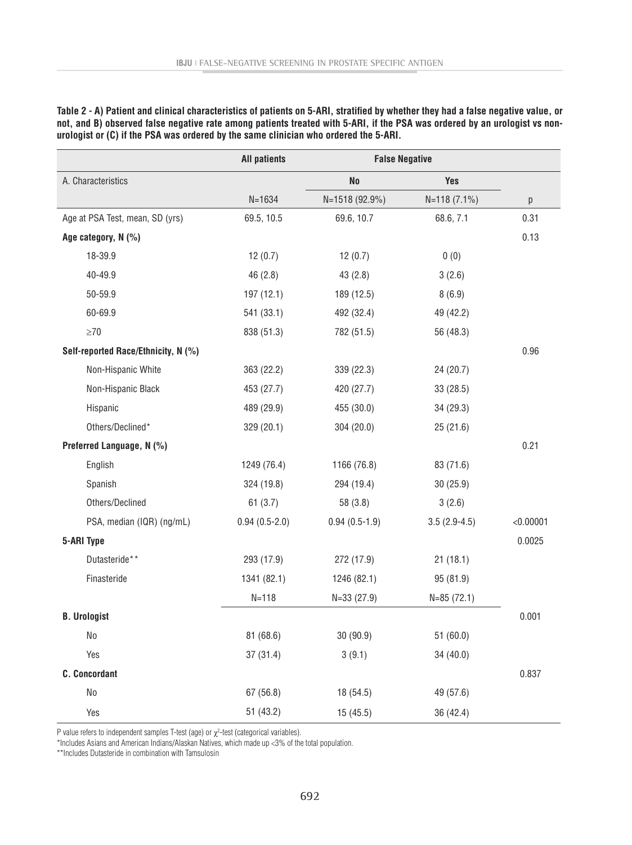|                                     | <b>All patients</b> | <b>False Negative</b> |                |           |
|-------------------------------------|---------------------|-----------------------|----------------|-----------|
| A. Characteristics                  |                     | N <sub>o</sub>        | <b>Yes</b>     |           |
|                                     | $N = 1634$          | N=1518 (92.9%)        | $N=118(7.1\%)$ | р         |
| Age at PSA Test, mean, SD (yrs)     | 69.5, 10.5          | 69.6, 10.7            | 68.6, 7.1      | 0.31      |
| Age category, N (%)                 |                     |                       |                | 0.13      |
| 18-39.9                             | 12(0.7)             | 12(0.7)               | 0(0)           |           |
| 40-49.9                             | 46 (2.8)            | 43(2.8)               | 3(2.6)         |           |
| 50-59.9                             | 197 (12.1)          | 189 (12.5)            | 8(6.9)         |           |
| 60-69.9                             | 541 (33.1)          | 492 (32.4)            | 49 (42.2)      |           |
| $\geq$ 70                           | 838 (51.3)          | 782 (51.5)            | 56 (48.3)      |           |
| Self-reported Race/Ethnicity, N (%) |                     |                       |                | 0.96      |
| Non-Hispanic White                  | 363 (22.2)          | 339 (22.3)            | 24 (20.7)      |           |
| Non-Hispanic Black                  | 453 (27.7)          | 420 (27.7)            | 33(28.5)       |           |
| Hispanic                            | 489 (29.9)          | 455 (30.0)            | 34 (29.3)      |           |
| Others/Declined*                    | 329 (20.1)          | 304 (20.0)            | 25(21.6)       |           |
| Preferred Language, N (%)           |                     |                       |                | 0.21      |
| English                             | 1249 (76.4)         | 1166 (76.8)           | 83 (71.6)      |           |
| Spanish                             | 324 (19.8)          | 294 (19.4)            | 30(25.9)       |           |
| Others/Declined                     | 61(3.7)             | 58 (3.8)              | 3(2.6)         |           |
| PSA, median (IQR) (ng/mL)           | $0.94(0.5-2.0)$     | $0.94(0.5-1.9)$       | $3.5(2.9-4.5)$ | < 0.00001 |
| 5-ARI Type                          |                     |                       |                | 0.0025    |
| Dutasteride**                       | 293 (17.9)          | 272 (17.9)            | 21(18.1)       |           |
| Finasteride                         | 1341 (82.1)         | 1246 (82.1)           | 95 (81.9)      |           |
|                                     | $N = 118$           | $N=33(27.9)$          | $N=85(72.1)$   |           |
| <b>B.</b> Urologist                 |                     |                       |                | 0.001     |
| No                                  | 81 (68.6)           | 30 (90.9)             | 51(60.0)       |           |
| Yes                                 | 37(31.4)            | 3(9.1)                | 34 (40.0)      |           |
| <b>C.</b> Concordant                |                     |                       |                | 0.837     |
| $\rm No$                            | 67 (56.8)           | 18 (54.5)             | 49 (57.6)      |           |
| Yes                                 | 51 (43.2)           | 15(45.5)              | 36 (42.4)      |           |

**Table 2 - A) Patient and clinical characteristics of patients on 5-ARI, stratified by whether they had a false negative value, or not, and B) observed false negative rate among patients treated with 5-ARI, if the PSA was ordered by an urologist vs nonurologist or (C) if the PSA was ordered by the same clinician who ordered the 5-ARI.**

P value refers to independent samples T-test (age) or  $\chi^2$ -test (categorical variables).

\*Includes Asians and American Indians/Alaskan Natives, which made up <3% of the total population.

\*\*Includes Dutasteride in combination with Tamsulosin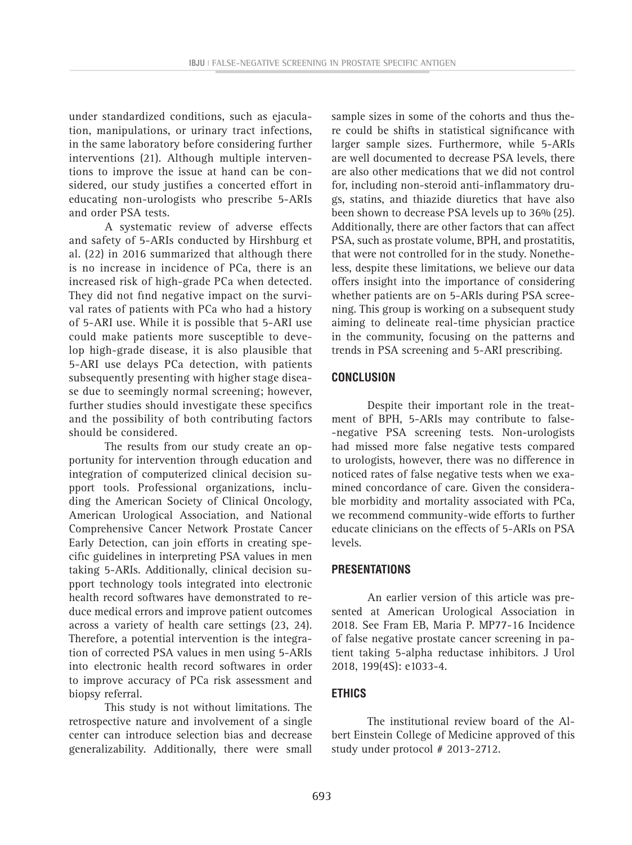under standardized conditions, such as ejaculation, manipulations, or urinary tract infections, in the same laboratory before considering further interventions (21). Although multiple interventions to improve the issue at hand can be considered, our study justifies a concerted effort in educating non-urologists who prescribe 5-ARIs and order PSA tests.

A systematic review of adverse effects and safety of 5-ARIs conducted by Hirshburg et al. (22) in 2016 summarized that although there is no increase in incidence of PCa, there is an increased risk of high-grade PCa when detected. They did not find negative impact on the survival rates of patients with PCa who had a history of 5-ARI use. While it is possible that 5-ARI use could make patients more susceptible to develop high-grade disease, it is also plausible that 5-ARI use delays PCa detection, with patients subsequently presenting with higher stage disease due to seemingly normal screening; however, further studies should investigate these specifics and the possibility of both contributing factors should be considered.

The results from our study create an opportunity for intervention through education and integration of computerized clinical decision support tools. Professional organizations, including the American Society of Clinical Oncology, American Urological Association, and National Comprehensive Cancer Network Prostate Cancer Early Detection, can join efforts in creating specific guidelines in interpreting PSA values in men taking 5-ARIs. Additionally, clinical decision support technology tools integrated into electronic health record softwares have demonstrated to reduce medical errors and improve patient outcomes across a variety of health care settings (23, 24). Therefore, a potential intervention is the integration of corrected PSA values in men using 5-ARIs into electronic health record softwares in order to improve accuracy of PCa risk assessment and biopsy referral.

This study is not without limitations. The retrospective nature and involvement of a single center can introduce selection bias and decrease generalizability. Additionally, there were small sample sizes in some of the cohorts and thus there could be shifts in statistical significance with larger sample sizes. Furthermore, while 5-ARIs are well documented to decrease PSA levels, there are also other medications that we did not control for, including non-steroid anti-inflammatory drugs, statins, and thiazide diuretics that have also been shown to decrease PSA levels up to 36% (25). Additionally, there are other factors that can affect PSA, such as prostate volume, BPH, and prostatitis, that were not controlled for in the study. Nonetheless, despite these limitations, we believe our data offers insight into the importance of considering whether patients are on 5-ARIs during PSA screening. This group is working on a subsequent study aiming to delineate real-time physician practice in the community, focusing on the patterns and trends in PSA screening and 5-ARI prescribing.

# **CONCLUSION**

Despite their important role in the treatment of BPH, 5-ARIs may contribute to false- -negative PSA screening tests. Non-urologists had missed more false negative tests compared to urologists, however, there was no difference in noticed rates of false negative tests when we examined concordance of care. Given the considerable morbidity and mortality associated with PCa, we recommend community-wide efforts to further educate clinicians on the effects of 5-ARIs on PSA levels.

# **PRESENTATIONS**

An earlier version of this article was presented at American Urological Association in 2018. See Fram EB, Maria P. MP77-16 Incidence of false negative prostate cancer screening in patient taking 5-alpha reductase inhibitors. J Urol 2018, 199(4S): e1033-4.

# **ETHICS**

The institutional review board of the Albert Einstein College of Medicine approved of this study under protocol # 2013-2712.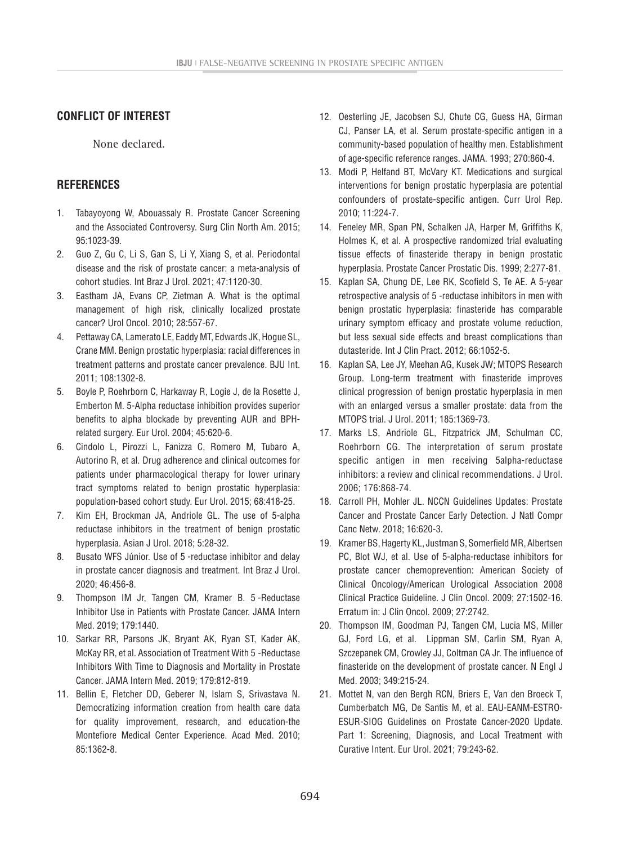# **CONFLICT OF INTEREST**

None declared.

## **REFERENCES**

- 1. Tabayoyong W, Abouassaly R. Prostate Cancer Screening and the Associated Controversy. Surg Clin North Am. 2015; 95:1023-39.
- 2. Guo Z, Gu C, Li S, Gan S, Li Y, Xiang S, et al. Periodontal disease and the risk of prostate cancer: a meta-analysis of cohort studies. Int Braz J Urol. 2021; 47:1120-30.
- 3. Eastham JA, Evans CP, Zietman A. What is the optimal management of high risk, clinically localized prostate cancer? Urol Oncol. 2010; 28:557-67.
- 4. Pettaway CA, Lamerato LE, Eaddy MT, Edwards JK, Hogue SL, Crane MM. Benign prostatic hyperplasia: racial differences in treatment patterns and prostate cancer prevalence. BJU Int. 2011; 108:1302-8.
- 5. Boyle P, Roehrborn C, Harkaway R, Logie J, de la Rosette J, Emberton M. 5-Alpha reductase inhibition provides superior benefits to alpha blockade by preventing AUR and BPHrelated surgery. Eur Urol. 2004; 45:620-6.
- 6. Cindolo L, Pirozzi L, Fanizza C, Romero M, Tubaro A, Autorino R, et al. Drug adherence and clinical outcomes for patients under pharmacological therapy for lower urinary tract symptoms related to benign prostatic hyperplasia: population-based cohort study. Eur Urol. 2015; 68:418-25.
- 7. Kim EH, Brockman JA, Andriole GL. The use of 5-alpha reductase inhibitors in the treatment of benign prostatic hyperplasia. Asian J Urol. 2018; 5:28-32.
- 8. Busato WFS Júnior. Use of 5-reductase inhibitor and delay in prostate cancer diagnosis and treatment. Int Braz J Urol. 2020; 46:456-8.
- 9. Thompson IM Jr, Tangen CM, Kramer B. 5-Reductase Inhibitor Use in Patients with Prostate Cancer. JAMA Intern Med. 2019; 179:1440.
- 10. Sarkar RR, Parsons JK, Bryant AK, Ryan ST, Kader AK, McKay RR, et al. Association of Treatment With 5 -Reductase Inhibitors With Time to Diagnosis and Mortality in Prostate Cancer. JAMA Intern Med. 2019; 179:812-819.
- 11. Bellin E, Fletcher DD, Geberer N, Islam S, Srivastava N. Democratizing information creation from health care data for quality improvement, research, and education-the Montefiore Medical Center Experience. Acad Med. 2010; 85:1362-8.
- 12. Oesterling JE, Jacobsen SJ, Chute CG, Guess HA, Girman CJ, Panser LA, et al. Serum prostate-specific antigen in a community-based population of healthy men. Establishment of age-specific reference ranges. JAMA. 1993; 270:860-4.
- 13. Modi P, Helfand BT, McVary KT. Medications and surgical interventions for benign prostatic hyperplasia are potential confounders of prostate-specific antigen. Curr Urol Rep. 2010; 11:224-7.
- 14. Feneley MR, Span PN, Schalken JA, Harper M, Griffiths K, Holmes K, et al. A prospective randomized trial evaluating tissue effects of finasteride therapy in benign prostatic hyperplasia. Prostate Cancer Prostatic Dis. 1999; 2:277-81.
- 15. Kaplan SA, Chung DE, Lee RK, Scofield S, Te AE. A 5-year retrospective analysis of 5 -reductase inhibitors in men with benign prostatic hyperplasia: finasteride has comparable urinary symptom efficacy and prostate volume reduction, but less sexual side effects and breast complications than dutasteride. Int J Clin Pract. 2012; 66:1052-5.
- 16. Kaplan SA, Lee JY, Meehan AG, Kusek JW; MTOPS Research Group. Long-term treatment with finasteride improves clinical progression of benign prostatic hyperplasia in men with an enlarged versus a smaller prostate: data from the MTOPS trial. J Urol. 2011; 185:1369-73.
- 17. Marks LS, Andriole GL, Fitzpatrick JM, Schulman CC, Roehrborn CG. The interpretation of serum prostate specific antigen in men receiving 5alpha-reductase inhibitors: a review and clinical recommendations. J Urol. 2006; 176:868-74.
- 18. Carroll PH, Mohler JL. NCCN Guidelines Updates: Prostate Cancer and Prostate Cancer Early Detection. J Natl Compr Canc Netw. 2018; 16:620-3.
- 19. Kramer BS, Hagerty KL, Justman S, Somerfield MR, Albertsen PC, Blot WJ, et al. Use of 5-alpha-reductase inhibitors for prostate cancer chemoprevention: American Society of Clinical Oncology/American Urological Association 2008 Clinical Practice Guideline. J Clin Oncol. 2009; 27:1502-16. Erratum in: J Clin Oncol. 2009; 27:2742.
- 20. Thompson IM, Goodman PJ, Tangen CM, Lucia MS, Miller GJ, Ford LG, et al. Lippman SM, Carlin SM, Ryan A, Szczepanek CM, Crowley JJ, Coltman CA Jr. The influence of finasteride on the development of prostate cancer. N Engl J Med. 2003; 349:215-24.
- 21. Mottet N, van den Bergh RCN, Briers E, Van den Broeck T, Cumberbatch MG, De Santis M, et al. EAU-EANM-ESTRO-ESUR-SIOG Guidelines on Prostate Cancer-2020 Update. Part 1: Screening, Diagnosis, and Local Treatment with Curative Intent. Eur Urol. 2021; 79:243-62.